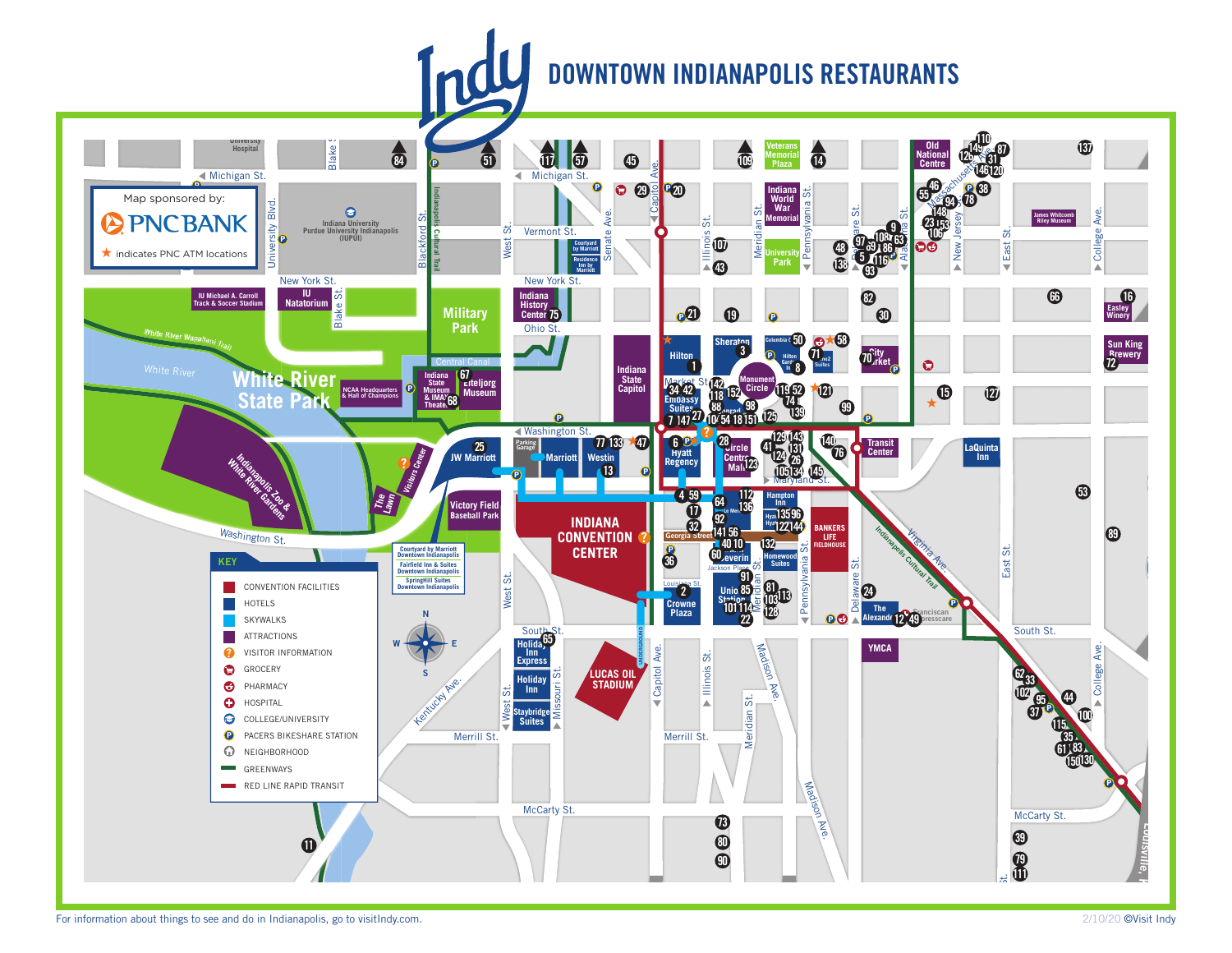## **DOWNTOWN INDIANAPOLIS RESTAURANTS**